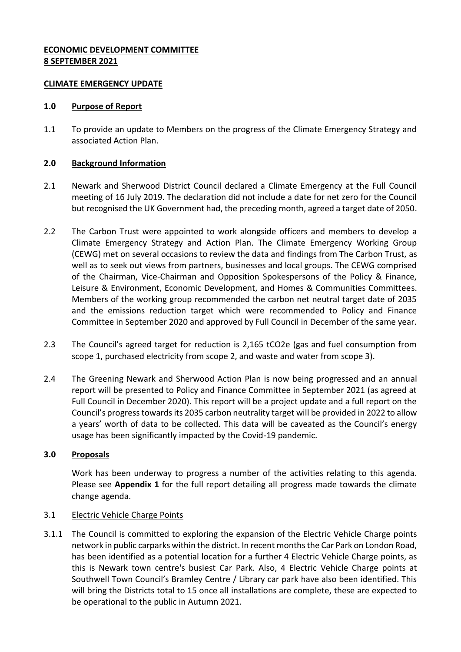### **ECONOMIC DEVELOPMENT COMMITTEE 8 SEPTEMBER 2021**

#### **CLIMATE EMERGENCY UPDATE**

#### **1.0 Purpose of Report**

1.1 To provide an update to Members on the progress of the Climate Emergency Strategy and associated Action Plan.

### **2.0 Background Information**

- 2.1 Newark and Sherwood District Council declared a Climate Emergency at the Full Council meeting of 16 July 2019. The declaration did not include a date for net zero for the Council but recognised the UK Government had, the preceding month, agreed a target date of 2050.
- 2.2 The Carbon Trust were appointed to work alongside officers and members to develop a Climate Emergency Strategy and Action Plan. The Climate Emergency Working Group (CEWG) met on several occasions to review the data and findings from The Carbon Trust, as well as to seek out views from partners, businesses and local groups. The CEWG comprised of the Chairman, Vice-Chairman and Opposition Spokespersons of the Policy & Finance, Leisure & Environment, Economic Development, and Homes & Communities Committees. Members of the working group recommended the carbon net neutral target date of 2035 and the emissions reduction target which were recommended to Policy and Finance Committee in September 2020 and approved by Full Council in December of the same year.
- 2.3 The Council's agreed target for reduction is 2,165 tCO2e (gas and fuel consumption from scope 1, purchased electricity from scope 2, and waste and water from scope 3).
- 2.4 The Greening Newark and Sherwood Action Plan is now being progressed and an annual report will be presented to Policy and Finance Committee in September 2021 (as agreed at Full Council in December 2020). This report will be a project update and a full report on the Council's progress towards its 2035 carbon neutrality target will be provided in 2022 to allow a years' worth of data to be collected. This data will be caveated as the Council's energy usage has been significantly impacted by the Covid-19 pandemic.

## **3.0 Proposals**

Work has been underway to progress a number of the activities relating to this agenda. Please see **Appendix 1** for the full report detailing all progress made towards the climate change agenda.

#### 3.1 Electric Vehicle Charge Points

3.1.1 The Council is committed to exploring the expansion of the Electric Vehicle Charge points network in public carparks within the district. In recent months the Car Park on London Road, has been identified as a potential location for a further 4 Electric Vehicle Charge points, as this is Newark town centre's busiest Car Park. Also, 4 Electric Vehicle Charge points at Southwell Town Council's Bramley Centre / Library car park have also been identified. This will bring the Districts total to 15 once all installations are complete, these are expected to be operational to the public in Autumn 2021.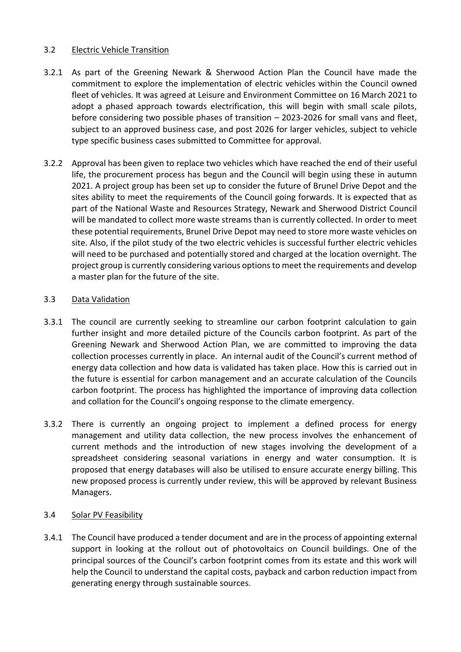#### 3.2 Electric Vehicle Transition

- 3.2.1 As part of the Greening Newark & Sherwood Action Plan the Council have made the commitment to explore the implementation of electric vehicles within the Council owned fleet of vehicles. It was agreed at Leisure and Environment Committee on 16 March 2021 to adopt a phased approach towards electrification, this will begin with small scale pilots, before considering two possible phases of transition – 2023-2026 for small vans and fleet, subject to an approved business case, and post 2026 for larger vehicles, subject to vehicle type specific business cases submitted to Committee for approval.
- 3.2.2 Approval has been given to replace two vehicles which have reached the end of their useful life, the procurement process has begun and the Council will begin using these in autumn 2021. A project group has been set up to consider the future of Brunel Drive Depot and the sites ability to meet the requirements of the Council going forwards. It is expected that as part of the National Waste and Resources Strategy, Newark and Sherwood District Council will be mandated to collect more waste streams than is currently collected. In order to meet these potential requirements, Brunel Drive Depot may need to store more waste vehicles on site. Also, if the pilot study of the two electric vehicles is successful further electric vehicles will need to be purchased and potentially stored and charged at the location overnight. The project group is currently considering various options to meet the requirements and develop a master plan for the future of the site.

#### 3.3 Data Validation

- 3.3.1 The council are currently seeking to streamline our carbon footprint calculation to gain further insight and more detailed picture of the Councils carbon footprint. As part of the Greening Newark and Sherwood Action Plan, we are committed to improving the data collection processes currently in place. An internal audit of the Council's current method of energy data collection and how data is validated has taken place. How this is carried out in the future is essential for carbon management and an accurate calculation of the Councils carbon footprint. The process has highlighted the importance of improving data collection and collation for the Council's ongoing response to the climate emergency.
- 3.3.2 There is currently an ongoing project to implement a defined process for energy management and utility data collection, the new process involves the enhancement of current methods and the introduction of new stages involving the development of a spreadsheet considering seasonal variations in energy and water consumption. It is proposed that energy databases will also be utilised to ensure accurate energy billing. This new proposed process is currently under review, this will be approved by relevant Business Managers.

#### 3.4 Solar PV Feasibility

3.4.1 The Council have produced a tender document and are in the process of appointing external support in looking at the rollout out of photovoltaics on Council buildings. One of the principal sources of the Council's carbon footprint comes from its estate and this work will help the Council to understand the capital costs, payback and carbon reduction impact from generating energy through sustainable sources.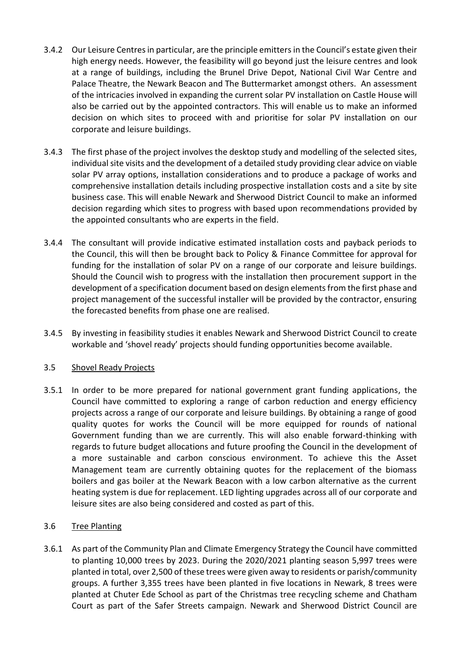- 3.4.2 Our Leisure Centres in particular, are the principle emitters in the Council's estate given their high energy needs. However, the feasibility will go beyond just the leisure centres and look at a range of buildings, including the Brunel Drive Depot, National Civil War Centre and Palace Theatre, the Newark Beacon and The Buttermarket amongst others. An assessment of the intricacies involved in expanding the current solar PV installation on Castle House will also be carried out by the appointed contractors. This will enable us to make an informed decision on which sites to proceed with and prioritise for solar PV installation on our corporate and leisure buildings.
- 3.4.3 The first phase of the project involves the desktop study and modelling of the selected sites, individual site visits and the development of a detailed study providing clear advice on viable solar PV array options, installation considerations and to produce a package of works and comprehensive installation details including prospective installation costs and a site by site business case. This will enable Newark and Sherwood District Council to make an informed decision regarding which sites to progress with based upon recommendations provided by the appointed consultants who are experts in the field.
- 3.4.4 The consultant will provide indicative estimated installation costs and payback periods to the Council, this will then be brought back to Policy & Finance Committee for approval for funding for the installation of solar PV on a range of our corporate and leisure buildings. Should the Council wish to progress with the installation then procurement support in the development of a specification document based on design elements from the first phase and project management of the successful installer will be provided by the contractor, ensuring the forecasted benefits from phase one are realised.
- 3.4.5 By investing in feasibility studies it enables Newark and Sherwood District Council to create workable and 'shovel ready' projects should funding opportunities become available.

## 3.5 Shovel Ready Projects

3.5.1 In order to be more prepared for national government grant funding applications, the Council have committed to exploring a range of carbon reduction and energy efficiency projects across a range of our corporate and leisure buildings. By obtaining a range of good quality quotes for works the Council will be more equipped for rounds of national Government funding than we are currently. This will also enable forward-thinking with regards to future budget allocations and future proofing the Council in the development of a more sustainable and carbon conscious environment. To achieve this the Asset Management team are currently obtaining quotes for the replacement of the biomass boilers and gas boiler at the Newark Beacon with a low carbon alternative as the current heating system is due for replacement. LED lighting upgrades across all of our corporate and leisure sites are also being considered and costed as part of this.

## 3.6 Tree Planting

3.6.1 As part of the Community Plan and Climate Emergency Strategy the Council have committed to planting 10,000 trees by 2023. During the 2020/2021 planting season 5,997 trees were planted in total, over 2,500 of these trees were given away to residents or parish/community groups. A further 3,355 trees have been planted in five locations in Newark, 8 trees were planted at Chuter Ede School as part of the Christmas tree recycling scheme and Chatham Court as part of the Safer Streets campaign. Newark and Sherwood District Council are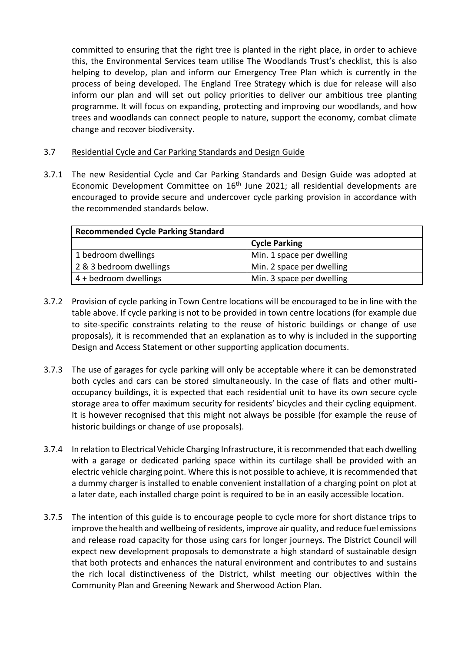committed to ensuring that the right tree is planted in the right place, in order to achieve this, the Environmental Services team utilise The Woodlands Trust's checklist, this is also helping to develop, plan and inform our Emergency Tree Plan which is currently in the process of being developed. The England Tree Strategy which is due for release will also inform our plan and will set out policy priorities to deliver our ambitious tree planting programme. It will focus on expanding, protecting and improving our woodlands, and how trees and woodlands can connect people to nature, support the economy, combat climate change and recover biodiversity.

#### 3.7 Residential Cycle and Car Parking Standards and Design Guide

3.7.1 The new Residential Cycle and Car Parking Standards and Design Guide was adopted at Economic Development Committee on 16<sup>th</sup> June 2021; all residential developments are encouraged to provide secure and undercover cycle parking provision in accordance with the recommended standards below.

| <b>Recommended Cycle Parking Standard</b> |                           |
|-------------------------------------------|---------------------------|
|                                           | <b>Cycle Parking</b>      |
| 1 bedroom dwellings                       | Min. 1 space per dwelling |
| 2 & 3 bedroom dwellings                   | Min. 2 space per dwelling |
| 4 + bedroom dwellings                     | Min. 3 space per dwelling |

- 3.7.2 Provision of cycle parking in Town Centre locations will be encouraged to be in line with the table above. If cycle parking is not to be provided in town centre locations (for example due to site-specific constraints relating to the reuse of historic buildings or change of use proposals), it is recommended that an explanation as to why is included in the supporting Design and Access Statement or other supporting application documents.
- 3.7.3 The use of garages for cycle parking will only be acceptable where it can be demonstrated both cycles and cars can be stored simultaneously. In the case of flats and other multioccupancy buildings, it is expected that each residential unit to have its own secure cycle storage area to offer maximum security for residents' bicycles and their cycling equipment. It is however recognised that this might not always be possible (for example the reuse of historic buildings or change of use proposals).
- 3.7.4 In relation to Electrical Vehicle Charging Infrastructure, it is recommended that each dwelling with a garage or dedicated parking space within its curtilage shall be provided with an electric vehicle charging point. Where this is not possible to achieve, it is recommended that a dummy charger is installed to enable convenient installation of a charging point on plot at a later date, each installed charge point is required to be in an easily accessible location.
- 3.7.5 The intention of this guide is to encourage people to cycle more for short distance trips to improve the health and wellbeing of residents, improve air quality, and reduce fuel emissions and release road capacity for those using cars for longer journeys. The District Council will expect new development proposals to demonstrate a high standard of sustainable design that both protects and enhances the natural environment and contributes to and sustains the rich local distinctiveness of the District, whilst meeting our objectives within the Community Plan and Greening Newark and Sherwood Action Plan.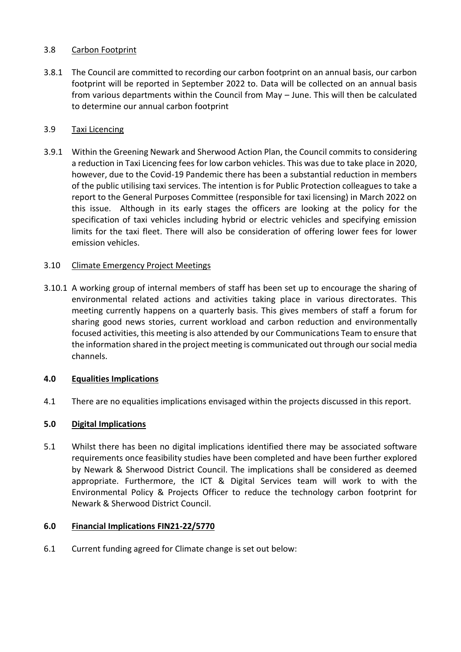### 3.8 Carbon Footprint

3.8.1 The Council are committed to recording our carbon footprint on an annual basis, our carbon footprint will be reported in September 2022 to. Data will be collected on an annual basis from various departments within the Council from May – June. This will then be calculated to determine our annual carbon footprint

#### 3.9 Taxi Licencing

3.9.1 Within the Greening Newark and Sherwood Action Plan, the Council commits to considering a reduction in Taxi Licencing fees for low carbon vehicles. This was due to take place in 2020, however, due to the Covid-19 Pandemic there has been a substantial reduction in members of the public utilising taxi services. The intention is for Public Protection colleagues to take a report to the General Purposes Committee (responsible for taxi licensing) in March 2022 on this issue. Although in its early stages the officers are looking at the policy for the specification of taxi vehicles including hybrid or electric vehicles and specifying emission limits for the taxi fleet. There will also be consideration of offering lower fees for lower emission vehicles.

#### 3.10 Climate Emergency Project Meetings

3.10.1 A working group of internal members of staff has been set up to encourage the sharing of environmental related actions and activities taking place in various directorates. This meeting currently happens on a quarterly basis. This gives members of staff a forum for sharing good news stories, current workload and carbon reduction and environmentally focused activities, this meeting is also attended by our Communications Team to ensure that the information shared in the project meeting is communicated out through our social media channels.

## **4.0 Equalities Implications**

4.1 There are no equalities implications envisaged within the projects discussed in this report.

## **5.0 Digital Implications**

5.1 Whilst there has been no digital implications identified there may be associated software requirements once feasibility studies have been completed and have been further explored by Newark & Sherwood District Council. The implications shall be considered as deemed appropriate. Furthermore, the ICT & Digital Services team will work to with the Environmental Policy & Projects Officer to reduce the technology carbon footprint for Newark & Sherwood District Council.

## **6.0 Financial Implications FIN21-22/5770**

6.1 Current funding agreed for Climate change is set out below: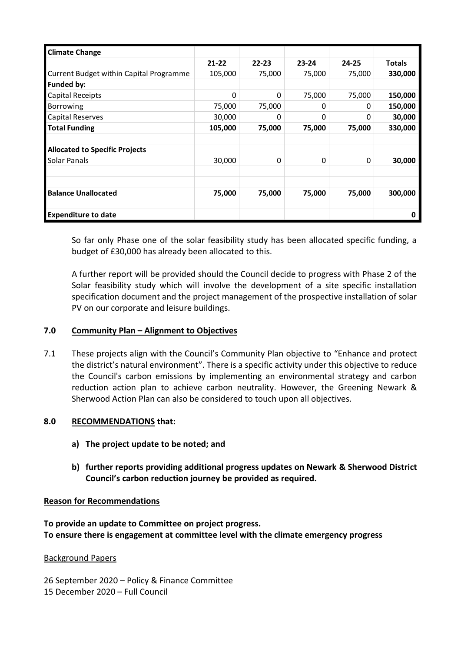| <b>Climate Change</b>                   |           |           |           |           |               |
|-----------------------------------------|-----------|-----------|-----------|-----------|---------------|
|                                         | $21 - 22$ | $22 - 23$ | $23 - 24$ | $24 - 25$ | <b>Totals</b> |
| Current Budget within Capital Programme | 105,000   | 75,000    | 75,000    | 75,000    | 330,000       |
| <b>Funded by:</b>                       |           |           |           |           |               |
| Capital Receipts                        | 0         | 0         | 75,000    | 75,000    | 150,000       |
| <b>Borrowing</b>                        | 75,000    | 75,000    | 0         | 0         | 150,000       |
| Capital Reserves                        | 30,000    | 0         | 0         | 0         | 30,000        |
| Total Funding                           | 105,000   | 75,000    | 75,000    | 75,000    | 330,000       |
|                                         |           |           |           |           |               |
| <b>Allocated to Specific Projects</b>   |           |           |           |           |               |
| Solar Panals                            | 30,000    | 0         | 0         | 0         | 30,000        |
|                                         |           |           |           |           |               |
|                                         |           |           |           |           |               |
| <b>Balance Unallocated</b>              | 75,000    | 75,000    | 75,000    | 75,000    | 300,000       |
|                                         |           |           |           |           |               |
| <b>Expenditure to date</b>              |           |           |           |           | O             |

So far only Phase one of the solar feasibility study has been allocated specific funding, a budget of £30,000 has already been allocated to this.

A further report will be provided should the Council decide to progress with Phase 2 of the Solar feasibility study which will involve the development of a site specific installation specification document and the project management of the prospective installation of solar PV on our corporate and leisure buildings.

#### **7.0 Community Plan – Alignment to Objectives**

7.1 These projects align with the Council's Community Plan objective to "Enhance and protect the district's natural environment". There is a specific activity under this objective to reduce the Council's carbon emissions by implementing an environmental strategy and carbon reduction action plan to achieve carbon neutrality. However, the Greening Newark & Sherwood Action Plan can also be considered to touch upon all objectives.

#### **8.0 RECOMMENDATIONS that:**

- **a) The project update to be noted; and**
- **b) further reports providing additional progress updates on Newark & Sherwood District Council's carbon reduction journey be provided as required.**

#### **Reason for Recommendations**

**To provide an update to Committee on project progress. To ensure there is engagement at committee level with the climate emergency progress**

#### Background Papers

26 September 2020 – Policy & Finance Committee

15 December 2020 – Full Council